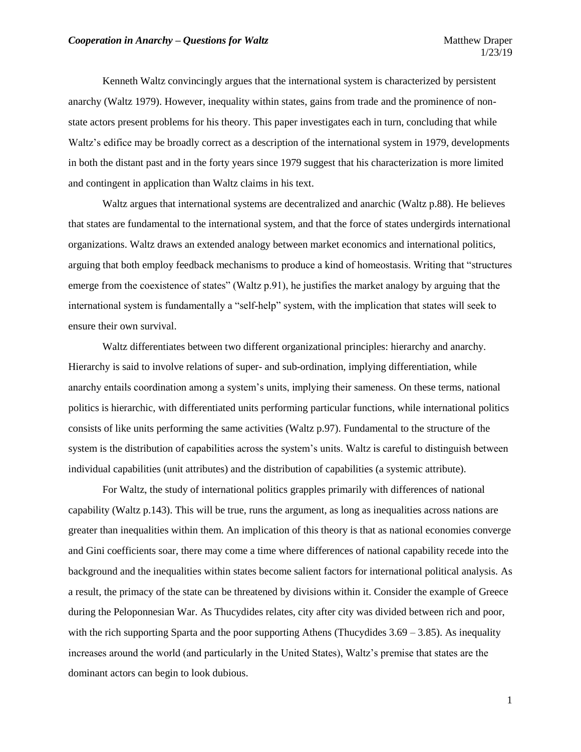Kenneth Waltz convincingly argues that the international system is characterized by persistent anarchy (Waltz 1979). However, inequality within states, gains from trade and the prominence of nonstate actors present problems for his theory. This paper investigates each in turn, concluding that while Waltz's edifice may be broadly correct as a description of the international system in 1979, developments in both the distant past and in the forty years since 1979 suggest that his characterization is more limited and contingent in application than Waltz claims in his text.

Waltz argues that international systems are decentralized and anarchic (Waltz p.88). He believes that states are fundamental to the international system, and that the force of states undergirds international organizations. Waltz draws an extended analogy between market economics and international politics, arguing that both employ feedback mechanisms to produce a kind of homeostasis. Writing that "structures emerge from the coexistence of states" (Waltz p.91), he justifies the market analogy by arguing that the international system is fundamentally a "self-help" system, with the implication that states will seek to ensure their own survival.

Waltz differentiates between two different organizational principles: hierarchy and anarchy. Hierarchy is said to involve relations of super- and sub-ordination, implying differentiation, while anarchy entails coordination among a system's units, implying their sameness. On these terms, national politics is hierarchic, with differentiated units performing particular functions, while international politics consists of like units performing the same activities (Waltz p.97). Fundamental to the structure of the system is the distribution of capabilities across the system's units. Waltz is careful to distinguish between individual capabilities (unit attributes) and the distribution of capabilities (a systemic attribute).

For Waltz, the study of international politics grapples primarily with differences of national capability (Waltz p.143). This will be true, runs the argument, as long as inequalities across nations are greater than inequalities within them. An implication of this theory is that as national economies converge and Gini coefficients soar, there may come a time where differences of national capability recede into the background and the inequalities within states become salient factors for international political analysis. As a result, the primacy of the state can be threatened by divisions within it. Consider the example of Greece during the Peloponnesian War. As Thucydides relates, city after city was divided between rich and poor, with the rich supporting Sparta and the poor supporting Athens (Thucydides  $3.69 - 3.85$ ). As inequality increases around the world (and particularly in the United States), Waltz's premise that states are the dominant actors can begin to look dubious.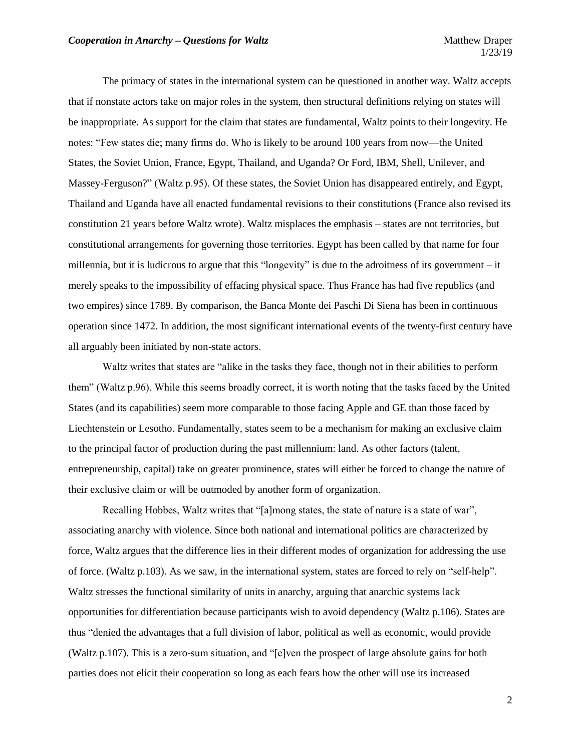The primacy of states in the international system can be questioned in another way. Waltz accepts that if nonstate actors take on major roles in the system, then structural definitions relying on states will be inappropriate. As support for the claim that states are fundamental, Waltz points to their longevity. He notes: "Few states die; many firms do. Who is likely to be around 100 years from now—the United States, the Soviet Union, France, Egypt, Thailand, and Uganda? Or Ford, IBM, Shell, Unilever, and Massey-Ferguson?" (Waltz p.95). Of these states, the Soviet Union has disappeared entirely, and Egypt, Thailand and Uganda have all enacted fundamental revisions to their constitutions (France also revised its constitution 21 years before Waltz wrote). Waltz misplaces the emphasis – states are not territories, but constitutional arrangements for governing those territories. Egypt has been called by that name for four millennia, but it is ludicrous to argue that this "longevity" is due to the adroitness of its government – it merely speaks to the impossibility of effacing physical space. Thus France has had five republics (and two empires) since 1789. By comparison, the Banca Monte dei Paschi Di Siena has been in continuous operation since 1472. In addition, the most significant international events of the twenty-first century have all arguably been initiated by non-state actors.

Waltz writes that states are "alike in the tasks they face, though not in their abilities to perform them" (Waltz p.96). While this seems broadly correct, it is worth noting that the tasks faced by the United States (and its capabilities) seem more comparable to those facing Apple and GE than those faced by Liechtenstein or Lesotho. Fundamentally, states seem to be a mechanism for making an exclusive claim to the principal factor of production during the past millennium: land. As other factors (talent, entrepreneurship, capital) take on greater prominence, states will either be forced to change the nature of their exclusive claim or will be outmoded by another form of organization.

Recalling Hobbes, Waltz writes that "[a]mong states, the state of nature is a state of war", associating anarchy with violence. Since both national and international politics are characterized by force, Waltz argues that the difference lies in their different modes of organization for addressing the use of force. (Waltz p.103). As we saw, in the international system, states are forced to rely on "self-help". Waltz stresses the functional similarity of units in anarchy, arguing that anarchic systems lack opportunities for differentiation because participants wish to avoid dependency (Waltz p.106). States are thus "denied the advantages that a full division of labor, political as well as economic, would provide (Waltz p.107). This is a zero-sum situation, and "[e]ven the prospect of large absolute gains for both parties does not elicit their cooperation so long as each fears how the other will use its increased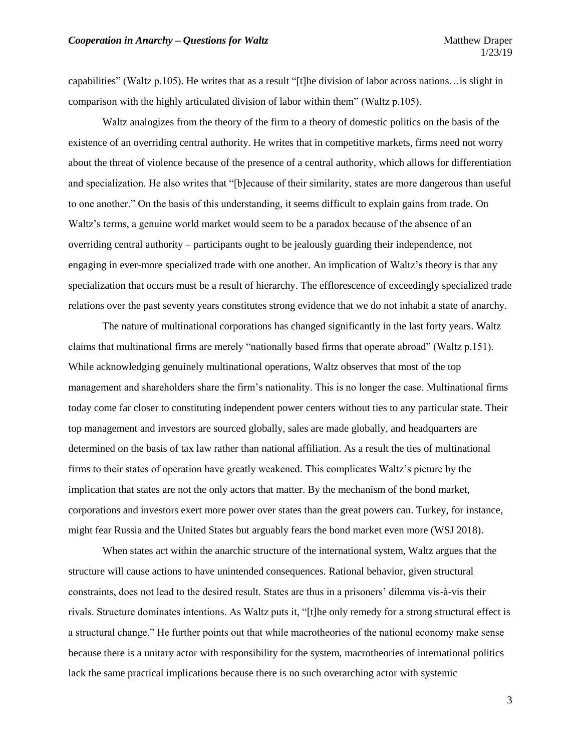capabilities" (Waltz p.105). He writes that as a result "[t]he division of labor across nations…is slight in comparison with the highly articulated division of labor within them" (Waltz p.105).

Waltz analogizes from the theory of the firm to a theory of domestic politics on the basis of the existence of an overriding central authority. He writes that in competitive markets, firms need not worry about the threat of violence because of the presence of a central authority, which allows for differentiation and specialization. He also writes that "[b]ecause of their similarity, states are more dangerous than useful to one another." On the basis of this understanding, it seems difficult to explain gains from trade. On Waltz's terms, a genuine world market would seem to be a paradox because of the absence of an overriding central authority – participants ought to be jealously guarding their independence, not engaging in ever-more specialized trade with one another. An implication of Waltz's theory is that any specialization that occurs must be a result of hierarchy. The efflorescence of exceedingly specialized trade relations over the past seventy years constitutes strong evidence that we do not inhabit a state of anarchy.

The nature of multinational corporations has changed significantly in the last forty years. Waltz claims that multinational firms are merely "nationally based firms that operate abroad" (Waltz p.151). While acknowledging genuinely multinational operations, Waltz observes that most of the top management and shareholders share the firm's nationality. This is no longer the case. Multinational firms today come far closer to constituting independent power centers without ties to any particular state. Their top management and investors are sourced globally, sales are made globally, and headquarters are determined on the basis of tax law rather than national affiliation. As a result the ties of multinational firms to their states of operation have greatly weakened. This complicates Waltz's picture by the implication that states are not the only actors that matter. By the mechanism of the bond market, corporations and investors exert more power over states than the great powers can. Turkey, for instance, might fear Russia and the United States but arguably fears the bond market even more (WSJ 2018).

When states act within the anarchic structure of the international system, Waltz argues that the structure will cause actions to have unintended consequences. Rational behavior, given structural constraints, does not lead to the desired result. States are thus in a prisoners' dilemma vis-à-vis their rivals. Structure dominates intentions. As Waltz puts it, "[t]he only remedy for a strong structural effect is a structural change." He further points out that while macrotheories of the national economy make sense because there is a unitary actor with responsibility for the system, macrotheories of international politics lack the same practical implications because there is no such overarching actor with systemic

3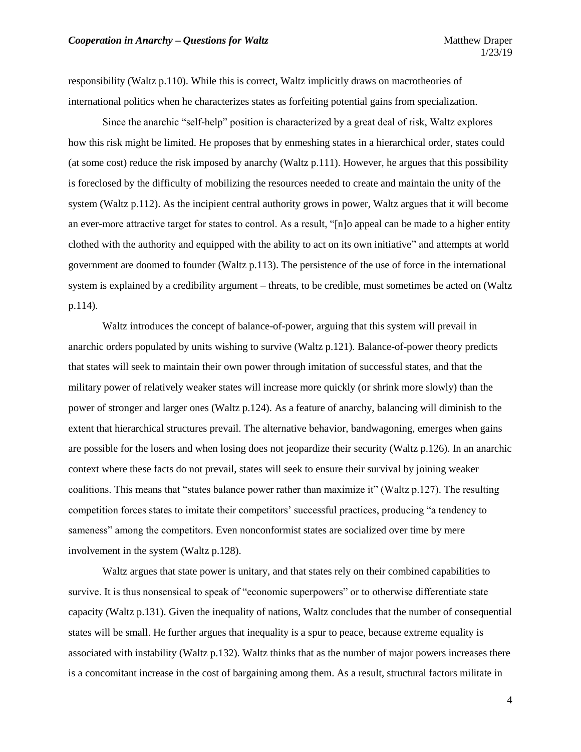responsibility (Waltz p.110). While this is correct, Waltz implicitly draws on macrotheories of international politics when he characterizes states as forfeiting potential gains from specialization.

Since the anarchic "self-help" position is characterized by a great deal of risk, Waltz explores how this risk might be limited. He proposes that by enmeshing states in a hierarchical order, states could (at some cost) reduce the risk imposed by anarchy (Waltz p.111). However, he argues that this possibility is foreclosed by the difficulty of mobilizing the resources needed to create and maintain the unity of the system (Waltz p.112). As the incipient central authority grows in power, Waltz argues that it will become an ever-more attractive target for states to control. As a result, "[n]o appeal can be made to a higher entity clothed with the authority and equipped with the ability to act on its own initiative" and attempts at world government are doomed to founder (Waltz p.113). The persistence of the use of force in the international system is explained by a credibility argument – threats, to be credible, must sometimes be acted on (Waltz p.114).

Waltz introduces the concept of balance-of-power, arguing that this system will prevail in anarchic orders populated by units wishing to survive (Waltz p.121). Balance-of-power theory predicts that states will seek to maintain their own power through imitation of successful states, and that the military power of relatively weaker states will increase more quickly (or shrink more slowly) than the power of stronger and larger ones (Waltz p.124). As a feature of anarchy, balancing will diminish to the extent that hierarchical structures prevail. The alternative behavior, bandwagoning, emerges when gains are possible for the losers and when losing does not jeopardize their security (Waltz p.126). In an anarchic context where these facts do not prevail, states will seek to ensure their survival by joining weaker coalitions. This means that "states balance power rather than maximize it" (Waltz p.127). The resulting competition forces states to imitate their competitors' successful practices, producing "a tendency to sameness" among the competitors. Even nonconformist states are socialized over time by mere involvement in the system (Waltz p.128).

Waltz argues that state power is unitary, and that states rely on their combined capabilities to survive. It is thus nonsensical to speak of "economic superpowers" or to otherwise differentiate state capacity (Waltz p.131). Given the inequality of nations, Waltz concludes that the number of consequential states will be small. He further argues that inequality is a spur to peace, because extreme equality is associated with instability (Waltz p.132). Waltz thinks that as the number of major powers increases there is a concomitant increase in the cost of bargaining among them. As a result, structural factors militate in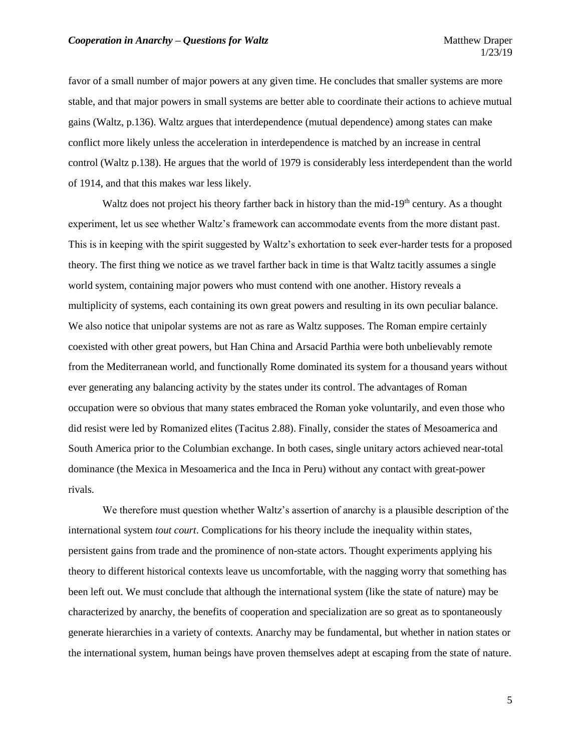favor of a small number of major powers at any given time. He concludes that smaller systems are more stable, and that major powers in small systems are better able to coordinate their actions to achieve mutual gains (Waltz, p.136). Waltz argues that interdependence (mutual dependence) among states can make conflict more likely unless the acceleration in interdependence is matched by an increase in central control (Waltz p.138). He argues that the world of 1979 is considerably less interdependent than the world of 1914, and that this makes war less likely.

Waltz does not project his theory farther back in history than the mid-19<sup>th</sup> century. As a thought experiment, let us see whether Waltz's framework can accommodate events from the more distant past. This is in keeping with the spirit suggested by Waltz's exhortation to seek ever-harder tests for a proposed theory. The first thing we notice as we travel farther back in time is that Waltz tacitly assumes a single world system, containing major powers who must contend with one another. History reveals a multiplicity of systems, each containing its own great powers and resulting in its own peculiar balance. We also notice that unipolar systems are not as rare as Waltz supposes. The Roman empire certainly coexisted with other great powers, but Han China and Arsacid Parthia were both unbelievably remote from the Mediterranean world, and functionally Rome dominated its system for a thousand years without ever generating any balancing activity by the states under its control. The advantages of Roman occupation were so obvious that many states embraced the Roman yoke voluntarily, and even those who did resist were led by Romanized elites (Tacitus 2.88). Finally, consider the states of Mesoamerica and South America prior to the Columbian exchange. In both cases, single unitary actors achieved near-total dominance (the Mexica in Mesoamerica and the Inca in Peru) without any contact with great-power rivals.

We therefore must question whether Waltz's assertion of anarchy is a plausible description of the international system *tout court*. Complications for his theory include the inequality within states, persistent gains from trade and the prominence of non-state actors. Thought experiments applying his theory to different historical contexts leave us uncomfortable, with the nagging worry that something has been left out. We must conclude that although the international system (like the state of nature) may be characterized by anarchy, the benefits of cooperation and specialization are so great as to spontaneously generate hierarchies in a variety of contexts. Anarchy may be fundamental, but whether in nation states or the international system, human beings have proven themselves adept at escaping from the state of nature.